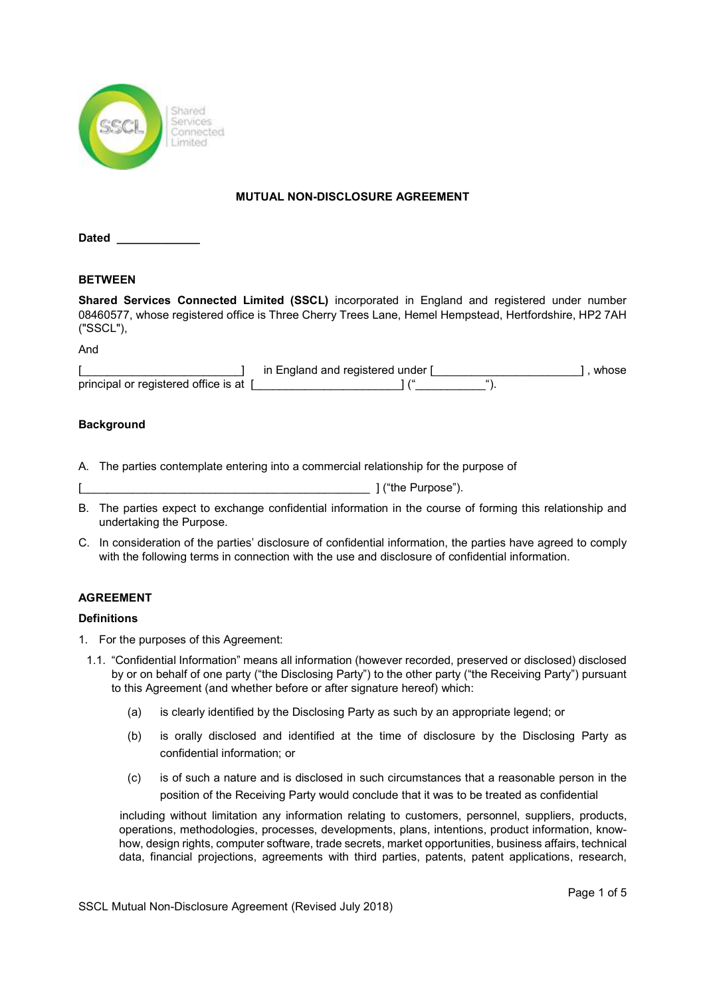

### MUTUAL NON-DISCLOSURE AGREEMENT

Dated

## BETWEEN

Shared Services Connected Limited (SSCL) incorporated in England and registered under number 08460577, whose registered office is Three Cherry Trees Lane, Hemel Hempstead, Hertfordshire, HP2 7AH ("SSCL"),

And

|                                        | in England and registered under |  | whose |
|----------------------------------------|---------------------------------|--|-------|
| principal or registered office is at 1 |                                 |  |       |

### **Background**

- A. The parties contemplate entering into a commercial relationship for the purpose of
- $\begin{array}{c} \begin{array}{c} \begin{array}{c} \end{array} \end{array}$  ["the Purpose").
- B. The parties expect to exchange confidential information in the course of forming this relationship and undertaking the Purpose.
- C. In consideration of the parties' disclosure of confidential information, the parties have agreed to comply with the following terms in connection with the use and disclosure of confidential information.

## AGREEMENT

## **Definitions**

- 1. For the purposes of this Agreement:
- 1.1. "Confidential Information" means all information (however recorded, preserved or disclosed) disclosed by or on behalf of one party ("the Disclosing Party") to the other party ("the Receiving Party") pursuant to this Agreement (and whether before or after signature hereof) which:
	- (a) is clearly identified by the Disclosing Party as such by an appropriate legend; or
	- (b) is orally disclosed and identified at the time of disclosure by the Disclosing Party as confidential information; or
	- (c) is of such a nature and is disclosed in such circumstances that a reasonable person in the position of the Receiving Party would conclude that it was to be treated as confidential

including without limitation any information relating to customers, personnel, suppliers, products, operations, methodologies, processes, developments, plans, intentions, product information, knowhow, design rights, computer software, trade secrets, market opportunities, business affairs, technical data, financial projections, agreements with third parties, patents, patent applications, research,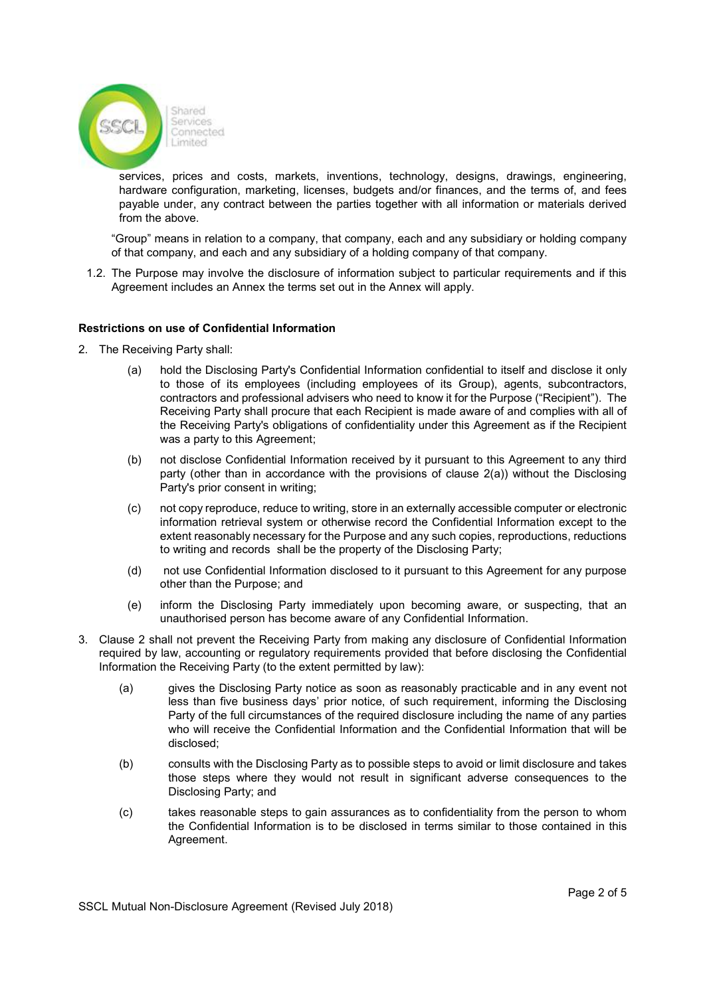

services, prices and costs, markets, inventions, technology, designs, drawings, engineering, hardware configuration, marketing, licenses, budgets and/or finances, and the terms of, and fees payable under, any contract between the parties together with all information or materials derived from the above.

"Group" means in relation to a company, that company, each and any subsidiary or holding company of that company, and each and any subsidiary of a holding company of that company.

1.2. The Purpose may involve the disclosure of information subject to particular requirements and if this Agreement includes an Annex the terms set out in the Annex will apply.

#### Restrictions on use of Confidential Information

- 2. The Receiving Party shall:
	- (a) hold the Disclosing Party's Confidential Information confidential to itself and disclose it only to those of its employees (including employees of its Group), agents, subcontractors, contractors and professional advisers who need to know it for the Purpose ("Recipient"). The Receiving Party shall procure that each Recipient is made aware of and complies with all of the Receiving Party's obligations of confidentiality under this Agreement as if the Recipient was a party to this Agreement;
	- (b) not disclose Confidential Information received by it pursuant to this Agreement to any third party (other than in accordance with the provisions of clause 2(a)) without the Disclosing Party's prior consent in writing;
	- (c) not copy reproduce, reduce to writing, store in an externally accessible computer or electronic information retrieval system or otherwise record the Confidential Information except to the extent reasonably necessary for the Purpose and any such copies, reproductions, reductions to writing and records shall be the property of the Disclosing Party;
	- (d) not use Confidential Information disclosed to it pursuant to this Agreement for any purpose other than the Purpose; and
	- (e) inform the Disclosing Party immediately upon becoming aware, or suspecting, that an unauthorised person has become aware of any Confidential Information.
- 3. Clause 2 shall not prevent the Receiving Party from making any disclosure of Confidential Information required by law, accounting or regulatory requirements provided that before disclosing the Confidential Information the Receiving Party (to the extent permitted by law):
	- (a) gives the Disclosing Party notice as soon as reasonably practicable and in any event not less than five business days' prior notice, of such requirement, informing the Disclosing Party of the full circumstances of the required disclosure including the name of any parties who will receive the Confidential Information and the Confidential Information that will be disclosed;
	- (b) consults with the Disclosing Party as to possible steps to avoid or limit disclosure and takes those steps where they would not result in significant adverse consequences to the Disclosing Party; and
	- (c) takes reasonable steps to gain assurances as to confidentiality from the person to whom the Confidential Information is to be disclosed in terms similar to those contained in this Agreement.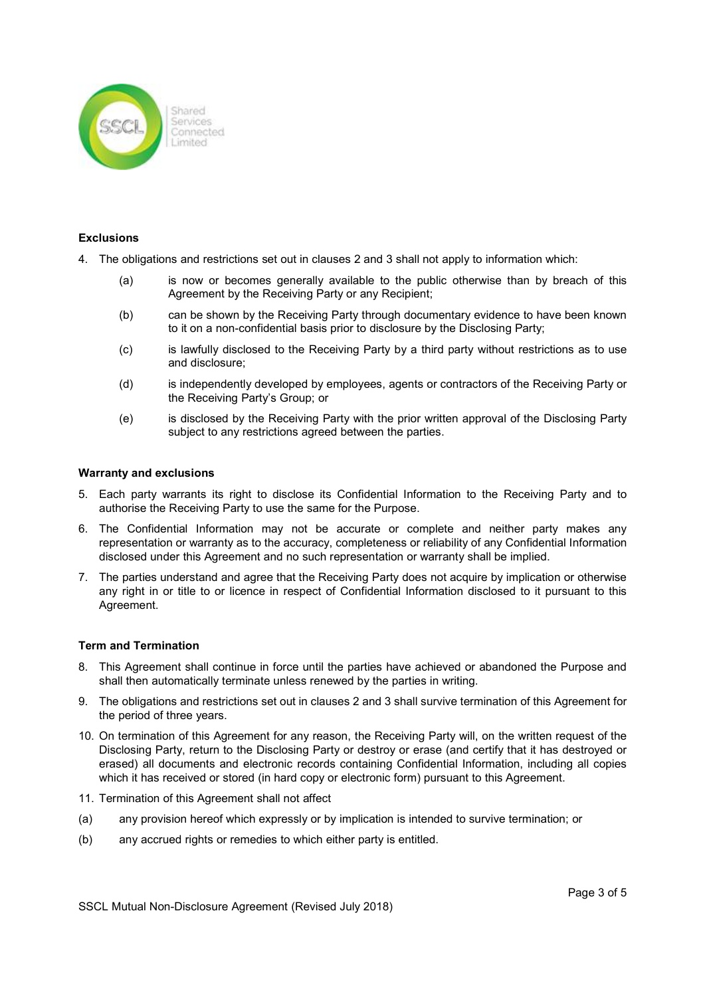

#### **Exclusions**

- 4. The obligations and restrictions set out in clauses 2 and 3 shall not apply to information which:
	- (a) is now or becomes generally available to the public otherwise than by breach of this Agreement by the Receiving Party or any Recipient;
	- (b) can be shown by the Receiving Party through documentary evidence to have been known to it on a non-confidential basis prior to disclosure by the Disclosing Party;
	- (c) is lawfully disclosed to the Receiving Party by a third party without restrictions as to use and disclosure;
	- (d) is independently developed by employees, agents or contractors of the Receiving Party or the Receiving Party's Group; or
	- (e) is disclosed by the Receiving Party with the prior written approval of the Disclosing Party subject to any restrictions agreed between the parties.

#### Warranty and exclusions

- 5. Each party warrants its right to disclose its Confidential Information to the Receiving Party and to authorise the Receiving Party to use the same for the Purpose.
- 6. The Confidential Information may not be accurate or complete and neither party makes any representation or warranty as to the accuracy, completeness or reliability of any Confidential Information disclosed under this Agreement and no such representation or warranty shall be implied.
- 7. The parties understand and agree that the Receiving Party does not acquire by implication or otherwise any right in or title to or licence in respect of Confidential Information disclosed to it pursuant to this Agreement.

#### Term and Termination

- 8. This Agreement shall continue in force until the parties have achieved or abandoned the Purpose and shall then automatically terminate unless renewed by the parties in writing.
- 9. The obligations and restrictions set out in clauses 2 and 3 shall survive termination of this Agreement for the period of three years.
- 10. On termination of this Agreement for any reason, the Receiving Party will, on the written request of the Disclosing Party, return to the Disclosing Party or destroy or erase (and certify that it has destroyed or erased) all documents and electronic records containing Confidential Information, including all copies which it has received or stored (in hard copy or electronic form) pursuant to this Agreement.
- 11. Termination of this Agreement shall not affect
- (a) any provision hereof which expressly or by implication is intended to survive termination; or
- (b) any accrued rights or remedies to which either party is entitled.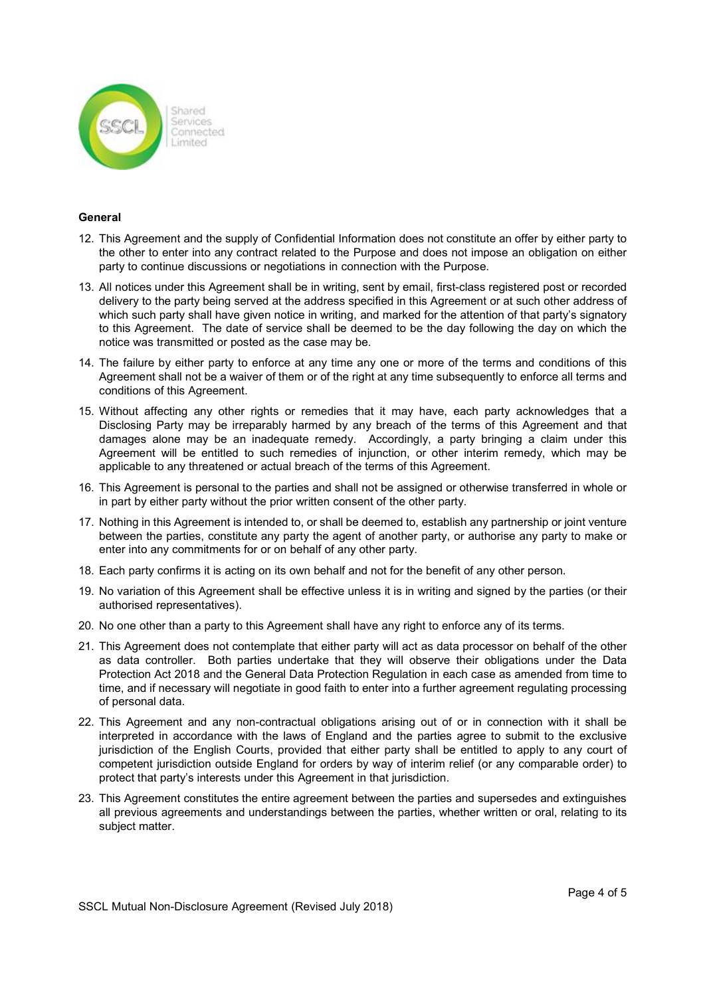

#### **General**

- 12. This Agreement and the supply of Confidential Information does not constitute an offer by either party to the other to enter into any contract related to the Purpose and does not impose an obligation on either party to continue discussions or negotiations in connection with the Purpose.
- 13. All notices under this Agreement shall be in writing, sent by email, first-class registered post or recorded delivery to the party being served at the address specified in this Agreement or at such other address of which such party shall have given notice in writing, and marked for the attention of that party's signatory to this Agreement. The date of service shall be deemed to be the day following the day on which the notice was transmitted or posted as the case may be.
- 14. The failure by either party to enforce at any time any one or more of the terms and conditions of this Agreement shall not be a waiver of them or of the right at any time subsequently to enforce all terms and conditions of this Agreement.
- 15. Without affecting any other rights or remedies that it may have, each party acknowledges that a Disclosing Party may be irreparably harmed by any breach of the terms of this Agreement and that damages alone may be an inadequate remedy. Accordingly, a party bringing a claim under this Agreement will be entitled to such remedies of injunction, or other interim remedy, which may be applicable to any threatened or actual breach of the terms of this Agreement.
- 16. This Agreement is personal to the parties and shall not be assigned or otherwise transferred in whole or in part by either party without the prior written consent of the other party.
- 17. Nothing in this Agreement is intended to, or shall be deemed to, establish any partnership or joint venture between the parties, constitute any party the agent of another party, or authorise any party to make or enter into any commitments for or on behalf of any other party.
- 18. Each party confirms it is acting on its own behalf and not for the benefit of any other person.
- 19. No variation of this Agreement shall be effective unless it is in writing and signed by the parties (or their authorised representatives).
- 20. No one other than a party to this Agreement shall have any right to enforce any of its terms.
- 21. This Agreement does not contemplate that either party will act as data processor on behalf of the other as data controller. Both parties undertake that they will observe their obligations under the Data Protection Act 2018 and the General Data Protection Regulation in each case as amended from time to time, and if necessary will negotiate in good faith to enter into a further agreement regulating processing of personal data.
- 22. This Agreement and any non-contractual obligations arising out of or in connection with it shall be interpreted in accordance with the laws of England and the parties agree to submit to the exclusive jurisdiction of the English Courts, provided that either party shall be entitled to apply to any court of competent jurisdiction outside England for orders by way of interim relief (or any comparable order) to protect that party's interests under this Agreement in that jurisdiction.
- 23. This Agreement constitutes the entire agreement between the parties and supersedes and extinguishes all previous agreements and understandings between the parties, whether written or oral, relating to its subject matter.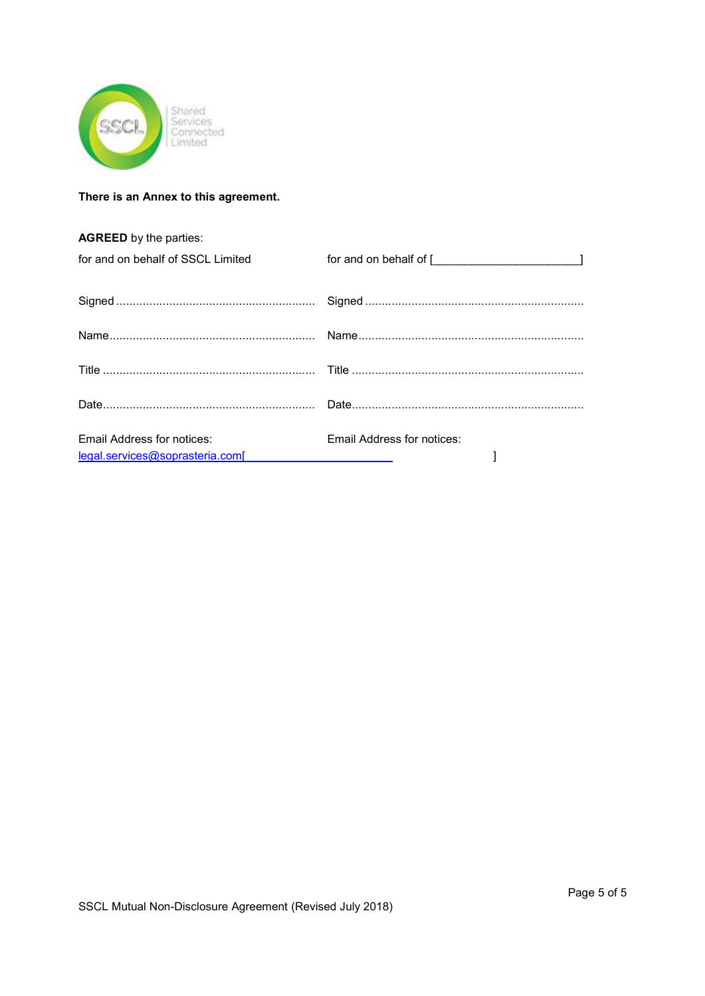

## There is an Annex to this agreement.

| <b>AGREED</b> by the parties:     |                                                                                                                                                                                                                                |
|-----------------------------------|--------------------------------------------------------------------------------------------------------------------------------------------------------------------------------------------------------------------------------|
| for and on behalf of SSCL Limited | for and on behalf of [ [ [ [ [ [ [ [ ] ] ] ] ] [ [ ] ] [ ] ] [ ] [ ] ] [ ] [ ] [ ] [ ] [ ] [ ] [ ] [ ] [ ] [ ] [ ] [ ] [ ] [ ] [ ] [ ] [ ] [ ] [ ] [ ] [ ] [ ] [ ] [ ] [ ] [ ] [ ] [ ] [ ] [ ] [ ] [ ] [ ] [ ] [ ] [ ] [ ] [ ] |
|                                   |                                                                                                                                                                                                                                |
|                                   |                                                                                                                                                                                                                                |
|                                   |                                                                                                                                                                                                                                |
|                                   |                                                                                                                                                                                                                                |
| <b>Email Address for notices:</b> | Email Address for notices:                                                                                                                                                                                                     |
| legal.services@soprasteria.com[   |                                                                                                                                                                                                                                |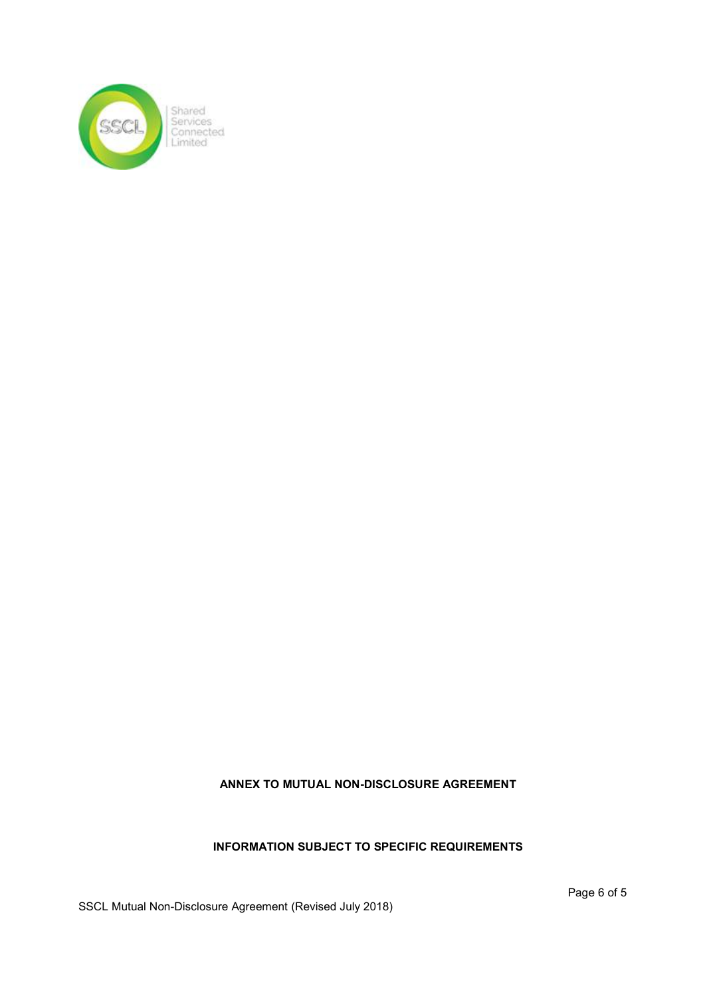

# ANNEX TO MUTUAL NON-DISCLOSURE AGREEMENT

# INFORMATION SUBJECT TO SPECIFIC REQUIREMENTS

SSCL Mutual Non-Disclosure Agreement (Revised July 2018)

Page 6 of 5